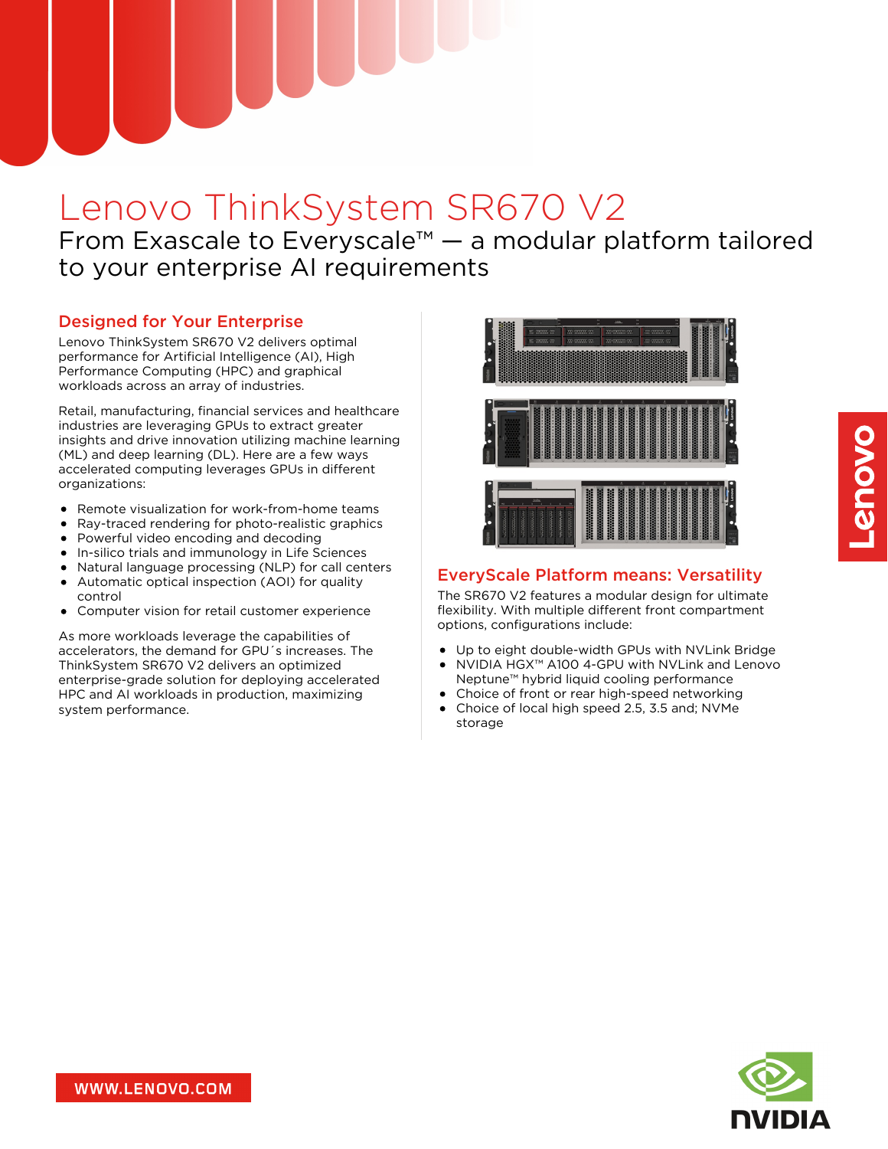# Lenovo ThinkSystem SR670 V2

From Exascale to Everyscale™ — a modular platform tailored to your enterprise AI requirements

# Designed for Your Enterprise

Lenovo ThinkSystem SR670 V2 delivers optimal performance for Artificial Intelligence (AI), High Performance Computing (HPC) and graphical workloads across an array of industries.

Retail, manufacturing, financial services and healthcare industries are leveraging GPUs to extract greater insights and drive innovation utilizing machine learning (ML) and deep learning (DL). Here are a few ways accelerated computing leverages GPUs in different organizations:

- Remote visualization for work-from-home teams
- Ray-traced rendering for photo-realistic graphics
- Powerful video encoding and decoding
- In-silico trials and immunology in Life Sciences
- Natural language processing (NLP) for call centers
- Automatic optical inspection (AOI) for quality control
- Computer vision for retail customer experience

As more workloads leverage the capabilities of accelerators, the demand for GPU´s increases. The ThinkSystem SR670 V2 delivers an optimized enterprise-grade solution for deploying accelerated HPC and AI workloads in production, maximizing system performance.



#### EveryScale Platform means: Versatility

The SR670 V2 features a modular design for ultimate flexibility. With multiple different front compartment options, configurations include:

- Up to eight double-width GPUs with NVLink Bridge
- NVIDIA HGX™ A100 4-GPU with NVLink and Lenovo Neptune™ hybrid liquid cooling performance
- Choice of front or rear high-speed networking
- Choice of local high speed 2.5, 3.5 and; NVMe storage

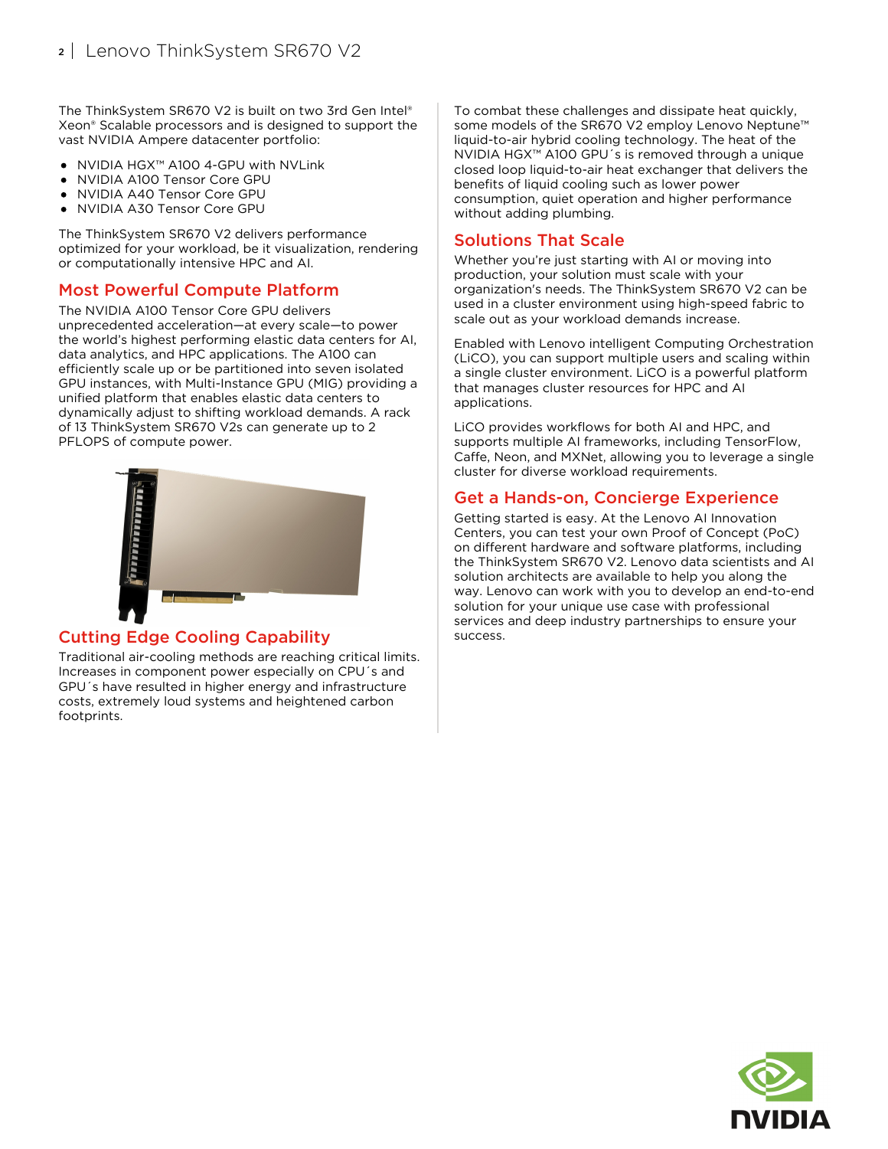The ThinkSystem SR670 V2 is built on two 3rd Gen Intel® Xeon® Scalable processors and is designed to support the vast NVIDIA Ampere datacenter portfolio:

- NVIDIA HGX™ A100 4-GPU with NVLink
- NVIDIA A100 Tensor Core GPU
- NVIDIA A40 Tensor Core GPU
- NVIDIA A30 Tensor Core GPU

The ThinkSystem SR670 V2 delivers performance optimized for your workload, be it visualization, rendering or computationally intensive HPC and AI.

#### Most Powerful Compute Platform

The NVIDIA A100 Tensor Core GPU delivers unprecedented acceleration—at every scale—to power the world's highest performing elastic data centers for AI, data analytics, and HPC applications. The A100 can efficiently scale up or be partitioned into seven isolated GPU instances, with Multi-Instance GPU (MIG) providing a unified platform that enables elastic data centers to dynamically adjust to shifting workload demands. A rack of 13 ThinkSystem SR670 V2s can generate up to 2 PFLOPS of compute power.



#### Cutting Edge Cooling Capability

Traditional air-cooling methods are reaching critical limits. Increases in component power especially on CPU´s and GPU´s have resulted in higher energy and infrastructure costs, extremely loud systems and heightened carbon footprints.

To combat these challenges and dissipate heat quickly, some models of the SR670 V2 employ Lenovo Neptune™ liquid-to-air hybrid cooling technology. The heat of the NVIDIA HGX™ A100 GPU´s is removed through a unique closed loop liquid-to-air heat exchanger that delivers the benefits of liquid cooling such as lower power consumption, quiet operation and higher performance without adding plumbing.

### Solutions That Scale

Whether you're just starting with AI or moving into production, your solution must scale with your organization's needs. The ThinkSystem SR670 V2 can be used in a cluster environment using high-speed fabric to scale out as your workload demands increase.

Enabled with Lenovo intelligent Computing Orchestration (LiCO), you can support multiple users and scaling within a single cluster environment. LiCO is a powerful platform that manages cluster resources for HPC and AI applications.

LiCO provides workflows for both AI and HPC, and supports multiple AI frameworks, including TensorFlow, Caffe, Neon, and MXNet, allowing you to leverage a single cluster for diverse workload requirements.

#### Get a Hands-on, Concierge Experience

Getting started is easy. At the Lenovo AI Innovation Centers, you can test your own Proof of Concept (PoC) on different hardware and software platforms, including the ThinkSystem SR670 V2. Lenovo data scientists and AI solution architects are available to help you along the way. Lenovo can work with you to develop an end-to-end solution for your unique use case with professional services and deep industry partnerships to ensure your success.